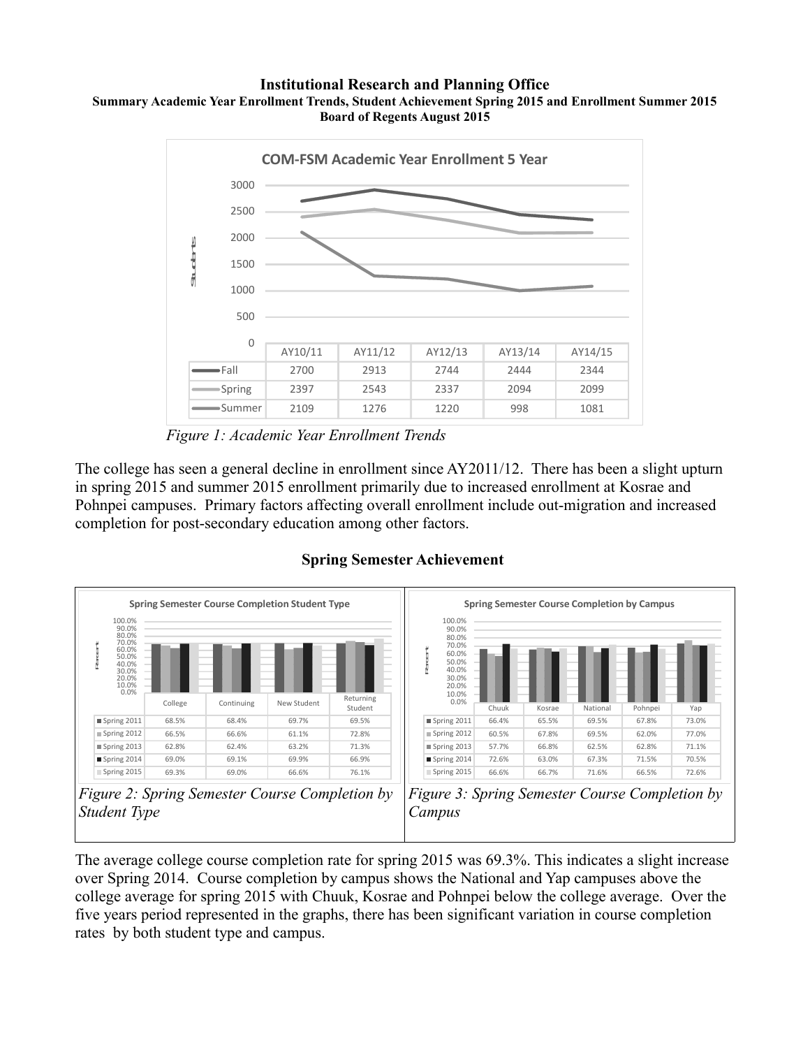#### **Institutional Research and Planning Office Summary Academic Year Enrollment Trends, Student Achievement Spring 2015 and Enrollment Summer 2015 Board of Regents August 2015**



*Figure 1: Academic Year Enrollment Trends*

The college has seen a general decline in enrollment since AY2011/12. There has been a slight upturn in spring 2015 and summer 2015 enrollment primarily due to increased enrollment at Kosrae and Pohnpei campuses. Primary factors affecting overall enrollment include out-migration and increased completion for post-secondary education among other factors.



### **Spring Semester Achievement**





The average college course completion rate for spring 2015 was 69.3%. This indicates a slight increase over Spring 2014. Course completion by campus shows the National and Yap campuses above the college average for spring 2015 with Chuuk, Kosrae and Pohnpei below the college average. Over the five years period represented in the graphs, there has been significant variation in course completion rates by both student type and campus.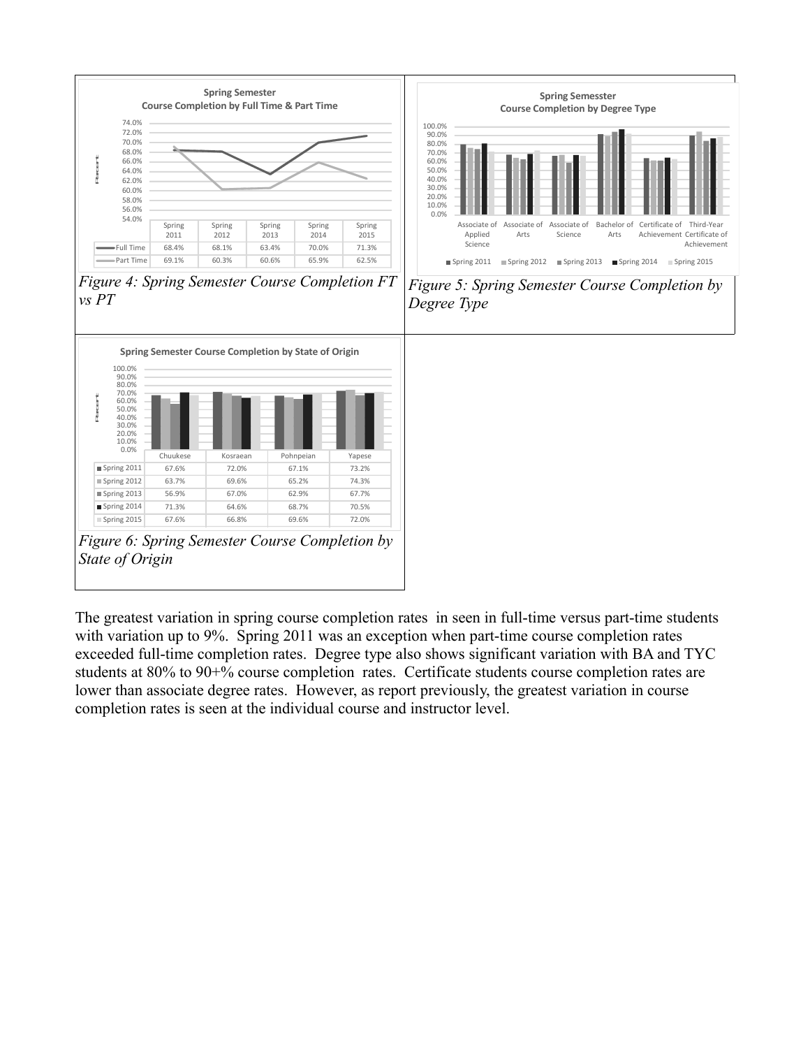

The greatest variation in spring course completion rates in seen in full-time versus part-time students with variation up to 9%. Spring 2011 was an exception when part-time course completion rates exceeded full-time completion rates. Degree type also shows significant variation with BA and TYC students at 80% to 90+% course completion rates. Certificate students course completion rates are lower than associate degree rates. However, as report previously, the greatest variation in course completion rates is seen at the individual course and instructor level.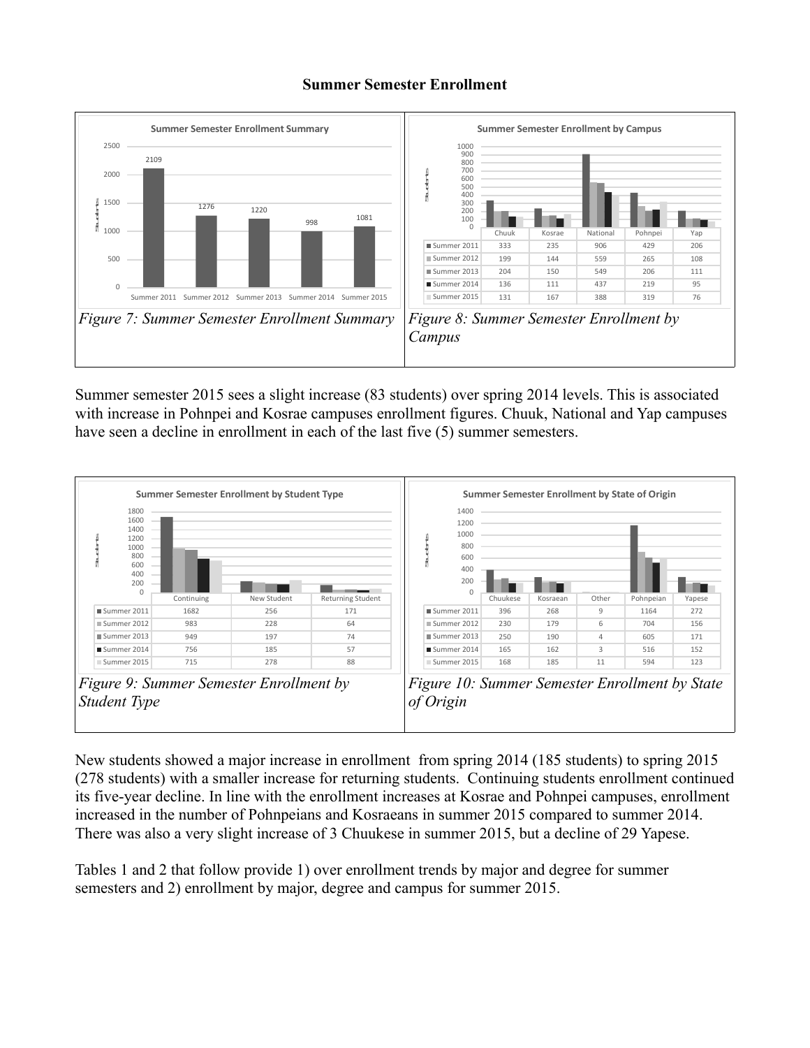### **Summer Semester Enrollment**



Summer semester 2015 sees a slight increase (83 students) over spring 2014 levels. This is associated with increase in Pohnpei and Kosrae campuses enrollment figures. Chuuk, National and Yap campuses have seen a decline in enrollment in each of the last five (5) summer semesters.



New students showed a major increase in enrollment from spring 2014 (185 students) to spring 2015 (278 students) with a smaller increase for returning students. Continuing students enrollment continued its five-year decline. In line with the enrollment increases at Kosrae and Pohnpei campuses, enrollment increased in the number of Pohnpeians and Kosraeans in summer 2015 compared to summer 2014. There was also a very slight increase of 3 Chuukese in summer 2015, but a decline of 29 Yapese.

Tables 1 and 2 that follow provide 1) over enrollment trends by major and degree for summer semesters and 2) enrollment by major, degree and campus for summer 2015.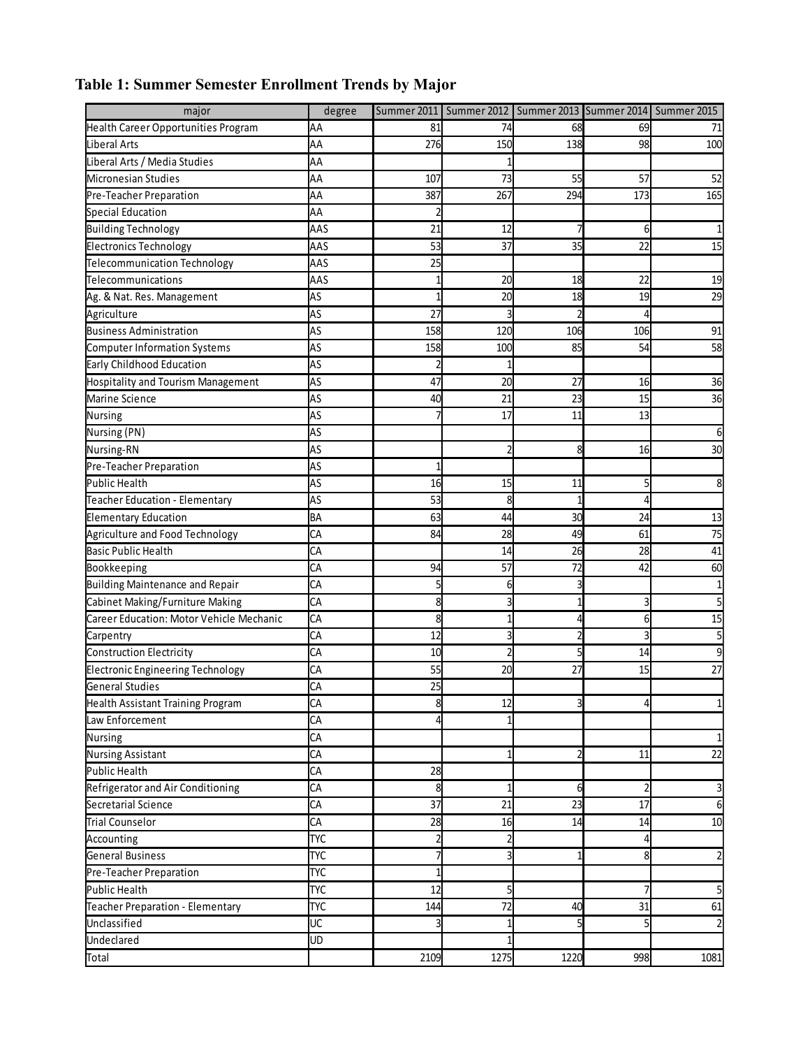| major                                     | degree     |      |      |                  |          | Summer 2011   Summer 2012   Summer 2013   Summer 2014   Summer 2015 |
|-------------------------------------------|------------|------|------|------------------|----------|---------------------------------------------------------------------|
| Health Career Opportunities Program       | AA         | 81   | 74   | 68               | 69       | 71                                                                  |
| <b>Liberal Arts</b>                       | AA         | 276  | 150  | 138              | 98       | 100                                                                 |
| Liberal Arts / Media Studies              | AA         |      |      |                  |          |                                                                     |
| <b>Micronesian Studies</b>                | AA         | 107  | 73   | 55               | 57       | 52                                                                  |
| Pre-Teacher Preparation                   | AA         | 387  | 267  | 294              | 173      | 165                                                                 |
| <b>Special Education</b>                  | AA         |      |      |                  |          |                                                                     |
| <b>Building Technology</b>                | AAS        | 21   | 12   |                  | 61       | $\mathbf{1}$                                                        |
| <b>Electronics Technology</b>             | AAS        | 53   | 37   | 35               | 22       | 15                                                                  |
| Telecommunication Technology              | AAS        | 25   |      |                  |          |                                                                     |
| Telecommunications                        | AAS        |      | 20   | 18               | 22       | 19                                                                  |
| Ag. & Nat. Res. Management                | AS         |      | 20   | 18               | 19       | 29                                                                  |
| Agriculture                               | AS         | 27   |      | C                |          |                                                                     |
| <b>Business Administration</b>            | AS         | 158  | 120  | 106              | 106      | 91                                                                  |
| <b>Computer Information Systems</b>       | AS         | 158  | 100  | 85               | 54       | 58                                                                  |
| Early Childhood Education                 | AS         |      |      |                  |          |                                                                     |
| <b>Hospitality and Tourism Management</b> | AS         | 47   | 20   | 27               | 16       | 36                                                                  |
| Marine Science                            | AS         | 40   | 21   | 23               | 15       | 36                                                                  |
| Nursing                                   | AS         |      | 17   | 11               | 13       |                                                                     |
| Nursing (PN)                              | AS         |      |      |                  |          | 6                                                                   |
| Nursing-RN                                | AS         |      |      | 8                | 16       | 30                                                                  |
| Pre-Teacher Preparation                   | AS         |      |      |                  |          |                                                                     |
| <b>Public Health</b>                      | AS         | 16   | 15   | 11               |          | 8                                                                   |
| Teacher Education - Elementary            | AS         | 53   | 8    |                  | 4        |                                                                     |
| <b>Elementary Education</b>               | BA         | 63   | 44   | 30               | 24       | 13                                                                  |
| Agriculture and Food Technology           | CA         | 84   | 28   | 49               | 61       | 75                                                                  |
| <b>Basic Public Health</b>                | CA         |      | 14   | 26               | 28       | 41                                                                  |
| Bookkeeping                               | CA         | 94   | 57   | 72               | 42       | 60                                                                  |
| <b>Building Maintenance and Repair</b>    | CA         |      | 6    | 3                |          | $\mathbf{1}$                                                        |
| Cabinet Making/Furniture Making           | CA         | 8    |      | 1                | 3        | 5                                                                   |
| Career Education: Motor Vehicle Mechanic  | СA         | 8    |      | 4                | $6 \mid$ | 15                                                                  |
| Carpentry                                 | CA         | 12   |      | $\overline{c}$   | 3        | 5                                                                   |
| <b>Construction Electricity</b>           | СA         | 10   |      | 5                | 14       | 9                                                                   |
| <b>Electronic Engineering Technology</b>  | СA         | 55   | 20   | 27               | 15       | 27                                                                  |
| <b>General Studies</b>                    | CA         | 25   |      |                  |          |                                                                     |
| Health Assistant Training Program         | CA         | 8    | 12   | 3                | 4        | $\mathbf{1}$                                                        |
| Law Enforcement                           | CA         |      |      |                  |          |                                                                     |
| Nursing                                   | СA         |      |      |                  |          | $\mathbf{1}$                                                        |
| <b>Nursing Assistant</b>                  | СA         |      |      | 2                | 11       | 22                                                                  |
| Public Health                             | СA         | 28   |      |                  |          |                                                                     |
| Refrigerator and Air Conditioning         | CA         | 8    |      | $6 \overline{6}$ |          | 3                                                                   |
| Secretarial Science                       | CA         | 37   | 21   | 23               | 17       | 6                                                                   |
| <b>Trial Counselor</b>                    | CA         | 28   | 16   | 14               | 14       | 10                                                                  |
| Accounting                                | <b>TYC</b> |      |      |                  |          |                                                                     |
| <b>General Business</b>                   | <b>TYC</b> |      |      |                  | 8        | $\overline{c}$                                                      |
| Pre-Teacher Preparation                   | <b>TYC</b> |      |      |                  |          |                                                                     |
| <b>Public Health</b>                      | <b>TYC</b> | 12   |      |                  | 7        | 5                                                                   |
| Teacher Preparation - Elementary          | <b>TYC</b> | 144  | 72   | 40               | 31       | 61                                                                  |
| Unclassified                              | UC         |      |      | 5                | 5        | $\overline{2}$                                                      |
| Undeclared                                | UD         |      |      |                  |          |                                                                     |
| Total                                     |            | 2109 | 1275 | 1220             | 998      | 1081                                                                |

# **Table 1: Summer Semester Enrollment Trends by Major**